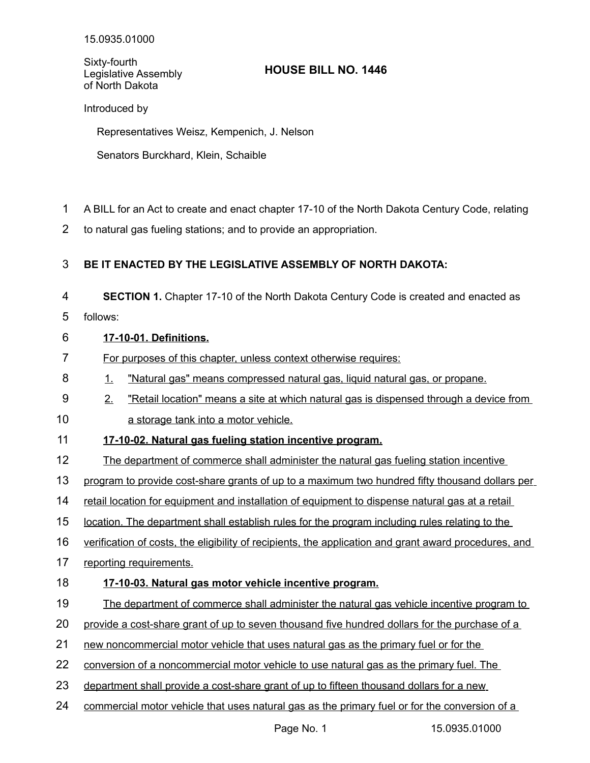Sixty-fourth Legislative Assembly of North Dakota

# **HOUSE BILL NO. 1446**

Introduced by

Representatives Weisz, Kempenich, J. Nelson

Senators Burckhard, Klein, Schaible

- A BILL for an Act to create and enact chapter 17-10 of the North Dakota Century Code, relating 1
- to natural gas fueling stations; and to provide an appropriation. 2

# **BE IT ENACTED BY THE LEGISLATIVE ASSEMBLY OF NORTH DAKOTA:** 3

**SECTION 1.** Chapter 17-10 of the North Dakota Century Code is created and enacted as 4

follows: 5

### **17-10-01. Definitions.** 6

- For purposes of this chapter, unless context otherwise requires: 7
- 1. "Natural gas" means compressed natural gas, liquid natural gas, or propane. 8
- 2. "Retail location" means a site at which natural gas is dispensed through a device from 9
- a storage tank into a motor vehicle. 10

# **17-10-02. Natural gas fueling station incentive program.** 11

- The department of commerce shall administer the natural gas fueling station incentive 12
- program to provide cost share grants of up to a maximum two hundred fifty thousand dollars per 13
- retail location for equipment and installation of equipment to dispense natural gas at a retail 14
- location. The department shall establish rules for the program including rules relating to the 15
- verification of costs, the eligibility of recipients, the application and grant award procedures, and 16
- reporting requirements. 17

# **17-10-03. Natural gas motor vehicle incentive program.** 18

The department of commerce shall administer the natural gas vehicle incentive program to 19

provide a cost-share grant of up to seven thousand five hundred dollars for the purchase of a 20

- new noncommercial motor vehicle that uses natural gas as the primary fuel or for the 21
- conversion of a noncommercial motor vehicle to use natural gas as the primary fuel. The 22
- department shall provide a cost-share grant of up to fifteen thousand dollars for a new 23
- commercial motor vehicle that uses natural gas as the primary fuel or for the conversion of a 24